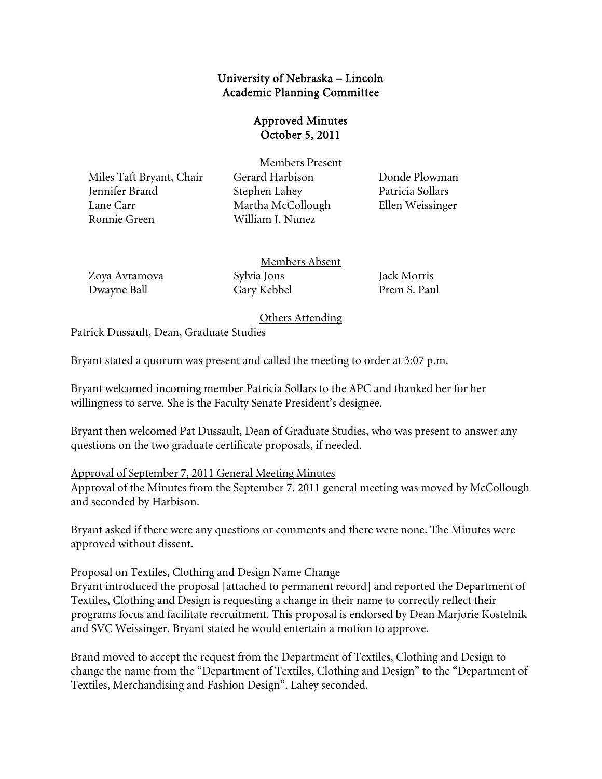# University of Nebraska – Lincoln Academic Planning Committee

# Approved Minutes October 5, 2011

Miles Taft Bryant, Chair Gerard Harbison Donde Plowman Jennifer Brand Stephen Lahey Patricia Sollars Lane Carr Martha McCollough Ellen Weissinger Ronnie Green William J. Nunez

Members Present

| Zoya Avramova | Members Absent |              |
|---------------|----------------|--------------|
|               | Sylvia Jons    | Jack Morris  |
| Dwayne Ball   | Gary Kebbel    | Prem S. Paul |

Others Attending

Patrick Dussault, Dean, Graduate Studies

Bryant stated a quorum was present and called the meeting to order at 3:07 p.m.

Bryant welcomed incoming member Patricia Sollars to the APC and thanked her for her willingness to serve. She is the Faculty Senate President's designee.

Bryant then welcomed Pat Dussault, Dean of Graduate Studies, who was present to answer any questions on the two graduate certificate proposals, if needed.

#### Approval of September 7, 2011 General Meeting Minutes

Approval of the Minutes from the September 7, 2011 general meeting was moved by McCollough and seconded by Harbison.

Bryant asked if there were any questions or comments and there were none. The Minutes were approved without dissent.

Proposal on Textiles, Clothing and Design Name Change

Bryant introduced the proposal [attached to permanent record] and reported the Department of Textiles, Clothing and Design is requesting a change in their name to correctly reflect their programs focus and facilitate recruitment. This proposal is endorsed by Dean Marjorie Kostelnik and SVC Weissinger. Bryant stated he would entertain a motion to approve.

Brand moved to accept the request from the Department of Textiles, Clothing and Design to change the name from the "Department of Textiles, Clothing and Design" to the "Department of Textiles, Merchandising and Fashion Design". Lahey seconded.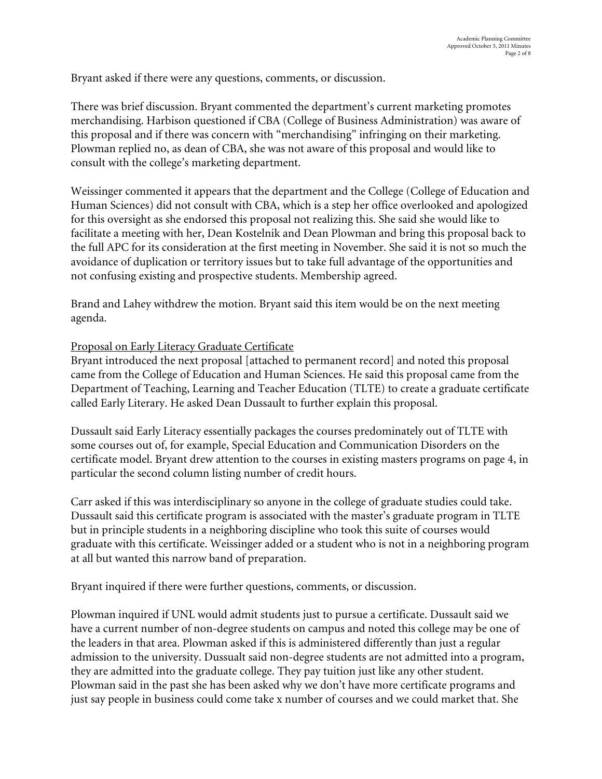Bryant asked if there were any questions, comments, or discussion.

There was brief discussion. Bryant commented the department's current marketing promotes merchandising. Harbison questioned if CBA (College of Business Administration) was aware of this proposal and if there was concern with "merchandising" infringing on their marketing. Plowman replied no, as dean of CBA, she was not aware of this proposal and would like to consult with the college's marketing department.

Weissinger commented it appears that the department and the College (College of Education and Human Sciences) did not consult with CBA, which is a step her office overlooked and apologized for this oversight as she endorsed this proposal not realizing this. She said she would like to facilitate a meeting with her, Dean Kostelnik and Dean Plowman and bring this proposal back to the full APC for its consideration at the first meeting in November. She said it is not so much the avoidance of duplication or territory issues but to take full advantage of the opportunities and not confusing existing and prospective students. Membership agreed.

Brand and Lahey withdrew the motion. Bryant said this item would be on the next meeting agenda.

### Proposal on Early Literacy Graduate Certificate

Bryant introduced the next proposal [attached to permanent record] and noted this proposal came from the College of Education and Human Sciences. He said this proposal came from the Department of Teaching, Learning and Teacher Education (TLTE) to create a graduate certificate called Early Literary. He asked Dean Dussault to further explain this proposal.

Dussault said Early Literacy essentially packages the courses predominately out of TLTE with some courses out of, for example, Special Education and Communication Disorders on the certificate model. Bryant drew attention to the courses in existing masters programs on page 4, in particular the second column listing number of credit hours.

Carr asked if this was interdisciplinary so anyone in the college of graduate studies could take. Dussault said this certificate program is associated with the master's graduate program in TLTE but in principle students in a neighboring discipline who took this suite of courses would graduate with this certificate. Weissinger added or a student who is not in a neighboring program at all but wanted this narrow band of preparation.

Bryant inquired if there were further questions, comments, or discussion.

Plowman inquired if UNL would admit students just to pursue a certificate. Dussault said we have a current number of non-degree students on campus and noted this college may be one of the leaders in that area. Plowman asked if this is administered differently than just a regular admission to the university. Dussualt said non-degree students are not admitted into a program, they are admitted into the graduate college. They pay tuition just like any other student. Plowman said in the past she has been asked why we don't have more certificate programs and just say people in business could come take x number of courses and we could market that. She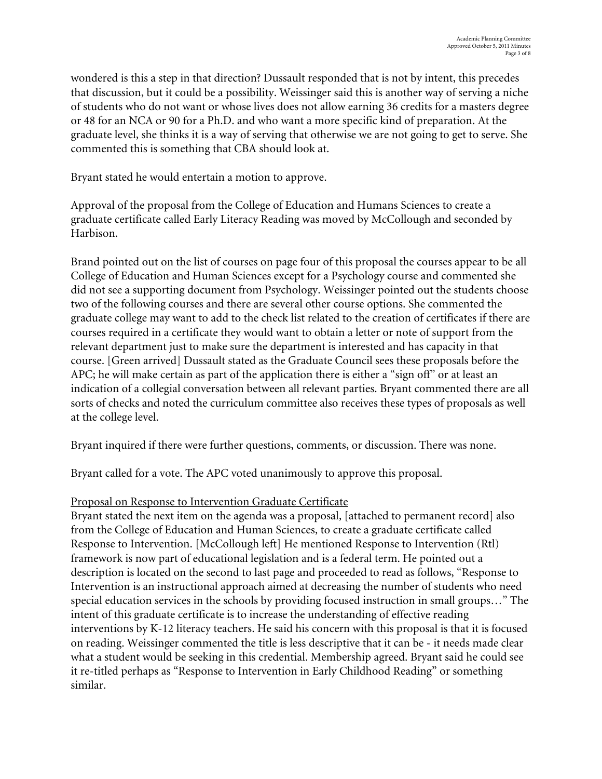wondered is this a step in that direction? Dussault responded that is not by intent, this precedes that discussion, but it could be a possibility. Weissinger said this is another way of serving a niche of students who do not want or whose lives does not allow earning 36 credits for a masters degree or 48 for an NCA or 90 for a Ph.D. and who want a more specific kind of preparation. At the graduate level, she thinks it is a way of serving that otherwise we are not going to get to serve. She commented this is something that CBA should look at.

Bryant stated he would entertain a motion to approve.

Approval of the proposal from the College of Education and Humans Sciences to create a graduate certificate called Early Literacy Reading was moved by McCollough and seconded by Harbison.

Brand pointed out on the list of courses on page four of this proposal the courses appear to be all College of Education and Human Sciences except for a Psychology course and commented she did not see a supporting document from Psychology. Weissinger pointed out the students choose two of the following courses and there are several other course options. She commented the graduate college may want to add to the check list related to the creation of certificates if there are courses required in a certificate they would want to obtain a letter or note of support from the relevant department just to make sure the department is interested and has capacity in that course. [Green arrived] Dussault stated as the Graduate Council sees these proposals before the APC; he will make certain as part of the application there is either a "sign off" or at least an indication of a collegial conversation between all relevant parties. Bryant commented there are all sorts of checks and noted the curriculum committee also receives these types of proposals as well at the college level.

Bryant inquired if there were further questions, comments, or discussion. There was none.

Bryant called for a vote. The APC voted unanimously to approve this proposal.

# Proposal on Response to Intervention Graduate Certificate

Bryant stated the next item on the agenda was a proposal, [attached to permanent record] also from the College of Education and Human Sciences, to create a graduate certificate called Response to Intervention. [McCollough left] He mentioned Response to Intervention (Rtl) framework is now part of educational legislation and is a federal term. He pointed out a description is located on the second to last page and proceeded to read as follows, "Response to Intervention is an instructional approach aimed at decreasing the number of students who need special education services in the schools by providing focused instruction in small groups…" The intent of this graduate certificate is to increase the understanding of effective reading interventions by K-12 literacy teachers. He said his concern with this proposal is that it is focused on reading. Weissinger commented the title is less descriptive that it can be - it needs made clear what a student would be seeking in this credential. Membership agreed. Bryant said he could see it re-titled perhaps as "Response to Intervention in Early Childhood Reading" or something similar.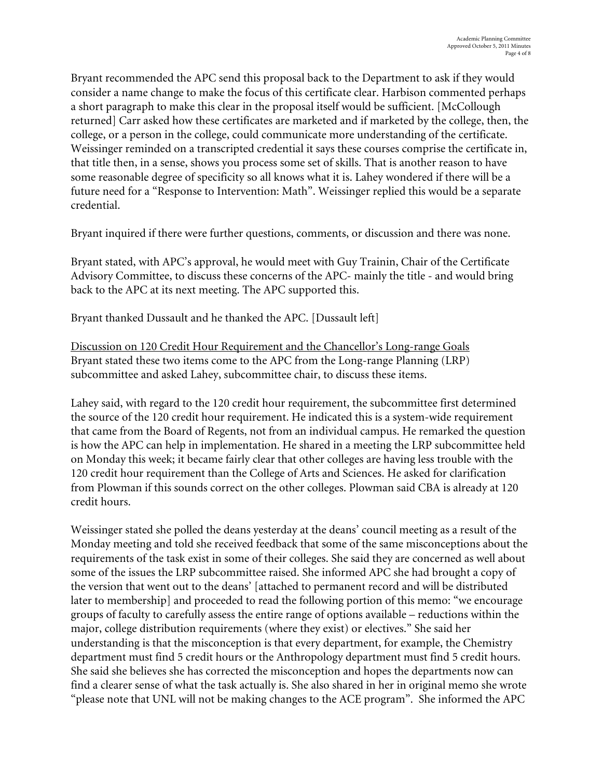Bryant recommended the APC send this proposal back to the Department to ask if they would consider a name change to make the focus of this certificate clear. Harbison commented perhaps a short paragraph to make this clear in the proposal itself would be sufficient. [McCollough returned] Carr asked how these certificates are marketed and if marketed by the college, then, the college, or a person in the college, could communicate more understanding of the certificate. Weissinger reminded on a transcripted credential it says these courses comprise the certificate in, that title then, in a sense, shows you process some set of skills. That is another reason to have some reasonable degree of specificity so all knows what it is. Lahey wondered if there will be a future need for a "Response to Intervention: Math". Weissinger replied this would be a separate credential.

Bryant inquired if there were further questions, comments, or discussion and there was none.

Bryant stated, with APC's approval, he would meet with Guy Trainin, Chair of the Certificate Advisory Committee, to discuss these concerns of the APC- mainly the title - and would bring back to the APC at its next meeting. The APC supported this.

Bryant thanked Dussault and he thanked the APC. [Dussault left]

Discussion on 120 Credit Hour Requirement and the Chancellor's Long-range Goals Bryant stated these two items come to the APC from the Long-range Planning (LRP) subcommittee and asked Lahey, subcommittee chair, to discuss these items.

Lahey said, with regard to the 120 credit hour requirement, the subcommittee first determined the source of the 120 credit hour requirement. He indicated this is a system-wide requirement that came from the Board of Regents, not from an individual campus. He remarked the question is how the APC can help in implementation. He shared in a meeting the LRP subcommittee held on Monday this week; it became fairly clear that other colleges are having less trouble with the 120 credit hour requirement than the College of Arts and Sciences. He asked for clarification from Plowman if this sounds correct on the other colleges. Plowman said CBA is already at 120 credit hours.

Weissinger stated she polled the deans yesterday at the deans' council meeting as a result of the Monday meeting and told she received feedback that some of the same misconceptions about the requirements of the task exist in some of their colleges. She said they are concerned as well about some of the issues the LRP subcommittee raised. She informed APC she had brought a copy of the version that went out to the deans' [attached to permanent record and will be distributed later to membership] and proceeded to read the following portion of this memo: "we encourage groups of faculty to carefully assess the entire range of options available – reductions within the major, college distribution requirements (where they exist) or electives." She said her understanding is that the misconception is that every department, for example, the Chemistry department must find 5 credit hours or the Anthropology department must find 5 credit hours. She said she believes she has corrected the misconception and hopes the departments now can find a clearer sense of what the task actually is. She also shared in her in original memo she wrote "please note that UNL will not be making changes to the ACE program". She informed the APC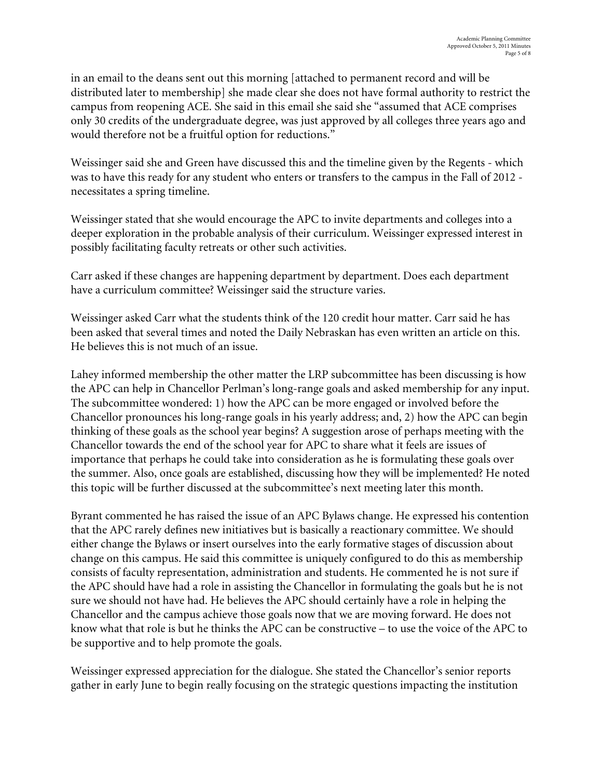in an email to the deans sent out this morning [attached to permanent record and will be distributed later to membership] she made clear she does not have formal authority to restrict the campus from reopening ACE. She said in this email she said she "assumed that ACE comprises only 30 credits of the undergraduate degree, was just approved by all colleges three years ago and would therefore not be a fruitful option for reductions."

Weissinger said she and Green have discussed this and the timeline given by the Regents - which was to have this ready for any student who enters or transfers to the campus in the Fall of 2012 necessitates a spring timeline.

Weissinger stated that she would encourage the APC to invite departments and colleges into a deeper exploration in the probable analysis of their curriculum. Weissinger expressed interest in possibly facilitating faculty retreats or other such activities.

Carr asked if these changes are happening department by department. Does each department have a curriculum committee? Weissinger said the structure varies.

Weissinger asked Carr what the students think of the 120 credit hour matter. Carr said he has been asked that several times and noted the Daily Nebraskan has even written an article on this. He believes this is not much of an issue.

Lahey informed membership the other matter the LRP subcommittee has been discussing is how the APC can help in Chancellor Perlman's long-range goals and asked membership for any input. The subcommittee wondered: 1) how the APC can be more engaged or involved before the Chancellor pronounces his long-range goals in his yearly address; and, 2) how the APC can begin thinking of these goals as the school year begins? A suggestion arose of perhaps meeting with the Chancellor towards the end of the school year for APC to share what it feels are issues of importance that perhaps he could take into consideration as he is formulating these goals over the summer. Also, once goals are established, discussing how they will be implemented? He noted this topic will be further discussed at the subcommittee's next meeting later this month.

Byrant commented he has raised the issue of an APC Bylaws change. He expressed his contention that the APC rarely defines new initiatives but is basically a reactionary committee. We should either change the Bylaws or insert ourselves into the early formative stages of discussion about change on this campus. He said this committee is uniquely configured to do this as membership consists of faculty representation, administration and students. He commented he is not sure if the APC should have had a role in assisting the Chancellor in formulating the goals but he is not sure we should not have had. He believes the APC should certainly have a role in helping the Chancellor and the campus achieve those goals now that we are moving forward. He does not know what that role is but he thinks the APC can be constructive – to use the voice of the APC to be supportive and to help promote the goals.

Weissinger expressed appreciation for the dialogue. She stated the Chancellor's senior reports gather in early June to begin really focusing on the strategic questions impacting the institution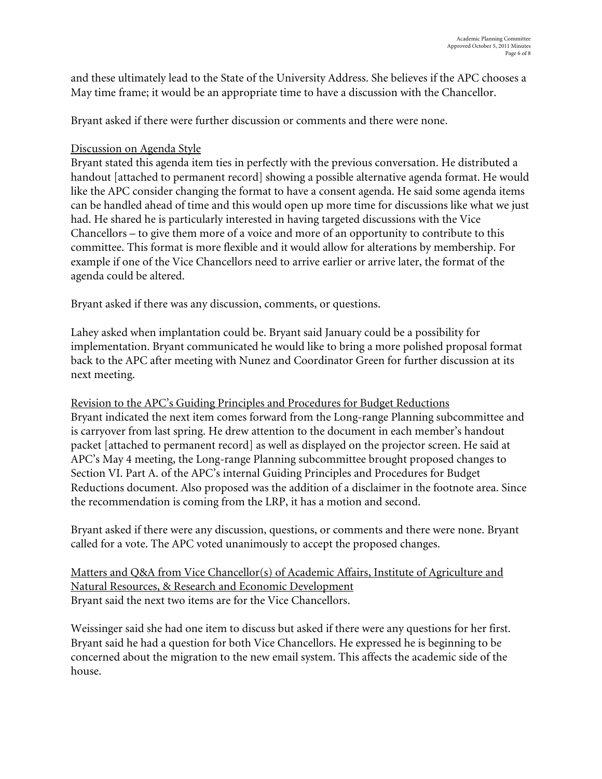and these ultimately lead to the State of the University Address. She believes if the APC chooses a May time frame; it would be an appropriate time to have a discussion with the Chancellor.

Bryant asked if there were further discussion or comments and there were none.

### Discussion on Agenda Style

Bryant stated this agenda item ties in perfectly with the previous conversation. He distributed a handout [attached to permanent record] showing a possible alternative agenda format. He would like the APC consider changing the format to have a consent agenda. He said some agenda items can be handled ahead of time and this would open up more time for discussions like what we just had. He shared he is particularly interested in having targeted discussions with the Vice Chancellors – to give them more of a voice and more of an opportunity to contribute to this committee. This format is more flexible and it would allow for alterations by membership. For example if one of the Vice Chancellors need to arrive earlier or arrive later, the format of the agenda could be altered.

Bryant asked if there was any discussion, comments, or questions.

Lahey asked when implantation could be. Bryant said January could be a possibility for implementation. Bryant communicated he would like to bring a more polished proposal format back to the APC after meeting with Nunez and Coordinator Green for further discussion at its next meeting.

Revision to the APC's Guiding Principles and Procedures for Budget Reductions Bryant indicated the next item comes forward from the Long-range Planning subcommittee and is carryover from last spring. He drew attention to the document in each member's handout packet [attached to permanent record] as well as displayed on the projector screen. He said at APC's May 4 meeting, the Long-range Planning subcommittee brought proposed changes to Section VI. Part A. of the APC's internal Guiding Principles and Procedures for Budget Reductions document. Also proposed was the addition of a disclaimer in the footnote area. Since the recommendation is coming from the LRP, it has a motion and second.

Bryant asked if there were any discussion, questions, or comments and there were none. Bryant called for a vote. The APC voted unanimously to accept the proposed changes.

Matters and Q&A from Vice Chancellor(s) of Academic Affairs, Institute of Agriculture and Natural Resources, & Research and Economic Development Bryant said the next two items are for the Vice Chancellors.

Weissinger said she had one item to discuss but asked if there were any questions for her first. Bryant said he had a question for both Vice Chancellors. He expressed he is beginning to be concerned about the migration to the new email system. This affects the academic side of the house.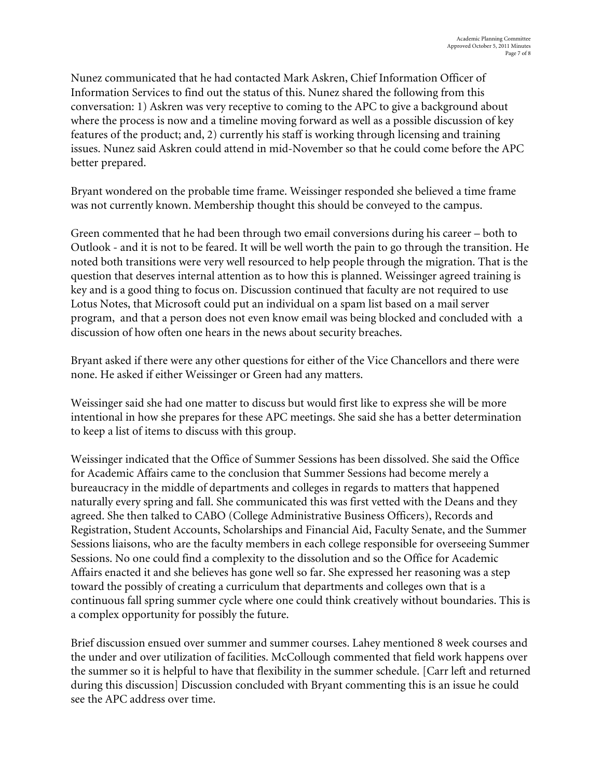Nunez communicated that he had contacted Mark Askren, Chief Information Officer of Information Services to find out the status of this. Nunez shared the following from this conversation: 1) Askren was very receptive to coming to the APC to give a background about where the process is now and a timeline moving forward as well as a possible discussion of key features of the product; and, 2) currently his staff is working through licensing and training issues. Nunez said Askren could attend in mid-November so that he could come before the APC better prepared.

Bryant wondered on the probable time frame. Weissinger responded she believed a time frame was not currently known. Membership thought this should be conveyed to the campus.

Green commented that he had been through two email conversions during his career – both to Outlook - and it is not to be feared. It will be well worth the pain to go through the transition. He noted both transitions were very well resourced to help people through the migration. That is the question that deserves internal attention as to how this is planned. Weissinger agreed training is key and is a good thing to focus on. Discussion continued that faculty are not required to use Lotus Notes, that Microsoft could put an individual on a spam list based on a mail server program, and that a person does not even know email was being blocked and concluded with a discussion of how often one hears in the news about security breaches.

Bryant asked if there were any other questions for either of the Vice Chancellors and there were none. He asked if either Weissinger or Green had any matters.

Weissinger said she had one matter to discuss but would first like to express she will be more intentional in how she prepares for these APC meetings. She said she has a better determination to keep a list of items to discuss with this group.

Weissinger indicated that the Office of Summer Sessions has been dissolved. She said the Office for Academic Affairs came to the conclusion that Summer Sessions had become merely a bureaucracy in the middle of departments and colleges in regards to matters that happened naturally every spring and fall. She communicated this was first vetted with the Deans and they agreed. She then talked to CABO (College Administrative Business Officers), Records and Registration, Student Accounts, Scholarships and Financial Aid, Faculty Senate, and the Summer Sessions liaisons, who are the faculty members in each college responsible for overseeing Summer Sessions. No one could find a complexity to the dissolution and so the Office for Academic Affairs enacted it and she believes has gone well so far. She expressed her reasoning was a step toward the possibly of creating a curriculum that departments and colleges own that is a continuous fall spring summer cycle where one could think creatively without boundaries. This is a complex opportunity for possibly the future.

Brief discussion ensued over summer and summer courses. Lahey mentioned 8 week courses and the under and over utilization of facilities. McCollough commented that field work happens over the summer so it is helpful to have that flexibility in the summer schedule. [Carr left and returned during this discussion] Discussion concluded with Bryant commenting this is an issue he could see the APC address over time.